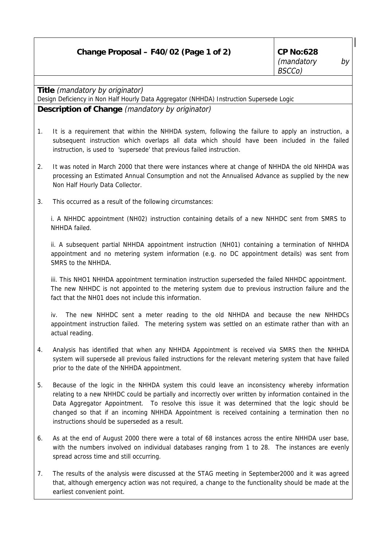| Change Proposal - F40/02 (Page 1 of 2) |  |  |
|----------------------------------------|--|--|
|                                        |  |  |

**Title** (mandatory by originator)

Design Deficiency in Non Half Hourly Data Aggregator (NHHDA) Instruction Supersede Logic

## **Description of Change** (mandatory by originator)

- 1. It is a requirement that within the NHHDA system, following the failure to apply an instruction, a subsequent instruction which overlaps all data which should have been included in the failed instruction, is used to 'supersede' that previous failed instruction.
- 2. It was noted in March 2000 that there were instances where at change of NHHDA the old NHHDA was processing an Estimated Annual Consumption and not the Annualised Advance as supplied by the new Non Half Hourly Data Collector.
- 3. This occurred as a result of the following circumstances:

i. A NHHDC appointment (NH02) instruction containing details of a new NHHDC sent from SMRS to NHHDA failed.

ii. A subsequent partial NHHDA appointment instruction (NH01) containing a termination of NHHDA appointment and no metering system information (e.g. no DC appointment details) was sent from SMRS to the NHHDA

iii. This NHO1 NHHDA appointment termination instruction superseded the failed NHHDC appointment. The new NHHDC is not appointed to the metering system due to previous instruction failure and the fact that the NH01 does not include this information.

iv. The new NHHDC sent a meter reading to the old NHHDA and because the new NHHDCs appointment instruction failed. The metering system was settled on an estimate rather than with an actual reading.

- 4. Analysis has identified that when any NHHDA Appointment is received via SMRS then the NHHDA system will supersede all previous failed instructions for the relevant metering system that have failed prior to the date of the NHHDA appointment.
- 5. Because of the logic in the NHHDA system this could leave an inconsistency whereby information relating to a new NHHDC could be partially and incorrectly over written by information contained in the Data Aggregator Appointment. To resolve this issue it was determined that the logic should be changed so that if an incoming NHHDA Appointment is received containing a termination then no instructions should be superseded as a result.
- 6. As at the end of August 2000 there were a total of 68 instances across the entire NHHDA user base, with the numbers involved on individual databases ranging from 1 to 28. The instances are evenly spread across time and still occurring.
- 7. The results of the analysis were discussed at the STAG meeting in September2000 and it was agreed that, although emergency action was not required, a change to the functionality should be made at the earliest convenient point.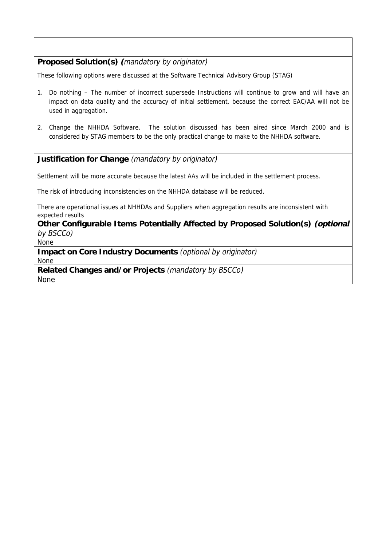## **Proposed Solution(s) (**mandatory by originator)

These following options were discussed at the Software Technical Advisory Group (STAG)

- 1. Do nothing The number of incorrect supersede Instructions will continue to grow and will have an impact on data quality and the accuracy of initial settlement, because the correct EAC/AA will not be used in aggregation.
- 2. Change the NHHDA Software. The solution discussed has been aired since March 2000 and is considered by STAG members to be the only practical change to make to the NHHDA software.

## **Justification for Change** (mandatory by originator)

Settlement will be more accurate because the latest AAs will be included in the settlement process.

The risk of introducing inconsistencies on the NHHDA database will be reduced.

There are operational issues at NHHDAs and Suppliers when aggregation results are inconsistent with expected results

**Other Configurable Items Potentially Affected by Proposed Solution(s) (optional** by BSCCo)

None

**Impact on Core Industry Documents** (optional by originator) None

**Related Changes and/or Projects** (mandatory by BSCCo) None